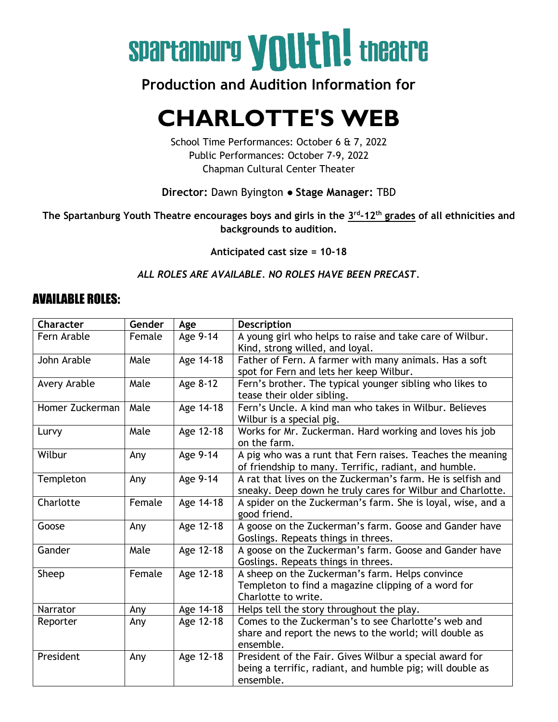# spartanburg **youth!** theatre

# **Production and Audition Information for**

# **CHARLOTTE'S WEB**

School Time Performances: October 6 & 7, 2022 Public Performances: October 7-9, 2022 Chapman Cultural Center Theater

#### **Director:** Dawn Byington **● Stage Manager:** TBD

**The Spartanburg Youth Theatre encourages boys and girls in the 3 rd -12th grades of all ethnicities and backgrounds to audition.**

**Anticipated cast size = 10-18**

#### *ALL ROLES ARE AVAILABLE. NO ROLES HAVE BEEN PRECAST.*

#### AVAILABLE ROLES:

| Character       | Gender | Age       | <b>Description</b>                                          |  |  |  |
|-----------------|--------|-----------|-------------------------------------------------------------|--|--|--|
| Fern Arable     | Female | Age 9-14  | A young girl who helps to raise and take care of Wilbur.    |  |  |  |
|                 |        |           | Kind, strong willed, and loyal.                             |  |  |  |
| John Arable     | Male   | Age 14-18 | Father of Fern. A farmer with many animals. Has a soft      |  |  |  |
|                 |        |           | spot for Fern and lets her keep Wilbur.                     |  |  |  |
| Avery Arable    | Male   | Age 8-12  | Fern's brother. The typical younger sibling who likes to    |  |  |  |
|                 |        |           | tease their older sibling.                                  |  |  |  |
| Homer Zuckerman | Male   | Age 14-18 | Fern's Uncle. A kind man who takes in Wilbur. Believes      |  |  |  |
|                 |        |           | Wilbur is a special pig.                                    |  |  |  |
| Lurvy           | Male   | Age 12-18 | Works for Mr. Zuckerman. Hard working and loves his job     |  |  |  |
|                 |        |           | on the farm.                                                |  |  |  |
| Wilbur          | Any    | Age 9-14  | A pig who was a runt that Fern raises. Teaches the meaning  |  |  |  |
|                 |        |           | of friendship to many. Terrific, radiant, and humble.       |  |  |  |
| Templeton       | Any    | Age 9-14  | A rat that lives on the Zuckerman's farm. He is selfish and |  |  |  |
|                 |        |           | sneaky. Deep down he truly cares for Wilbur and Charlotte.  |  |  |  |
| Charlotte       | Female | Age 14-18 | A spider on the Zuckerman's farm. She is loyal, wise, and a |  |  |  |
|                 |        |           | good friend.                                                |  |  |  |
| Goose           | Any    | Age 12-18 | A goose on the Zuckerman's farm. Goose and Gander have      |  |  |  |
|                 |        |           | Goslings. Repeats things in threes.                         |  |  |  |
| Gander          | Male   | Age 12-18 | A goose on the Zuckerman's farm. Goose and Gander have      |  |  |  |
|                 |        |           | Goslings. Repeats things in threes.                         |  |  |  |
| Sheep           | Female | Age 12-18 | A sheep on the Zuckerman's farm. Helps convince             |  |  |  |
|                 |        |           | Templeton to find a magazine clipping of a word for         |  |  |  |
|                 |        |           | Charlotte to write.                                         |  |  |  |
| Narrator        | Any    | Age 14-18 | Helps tell the story throughout the play.                   |  |  |  |
| Reporter        | Any    | Age 12-18 | Comes to the Zuckerman's to see Charlotte's web and         |  |  |  |
|                 |        |           | share and report the news to the world; will double as      |  |  |  |
|                 |        |           | ensemble.                                                   |  |  |  |
| President       | Any    | Age 12-18 | President of the Fair. Gives Wilbur a special award for     |  |  |  |
|                 |        |           | being a terrific, radiant, and humble pig; will double as   |  |  |  |
|                 |        |           | ensemble.                                                   |  |  |  |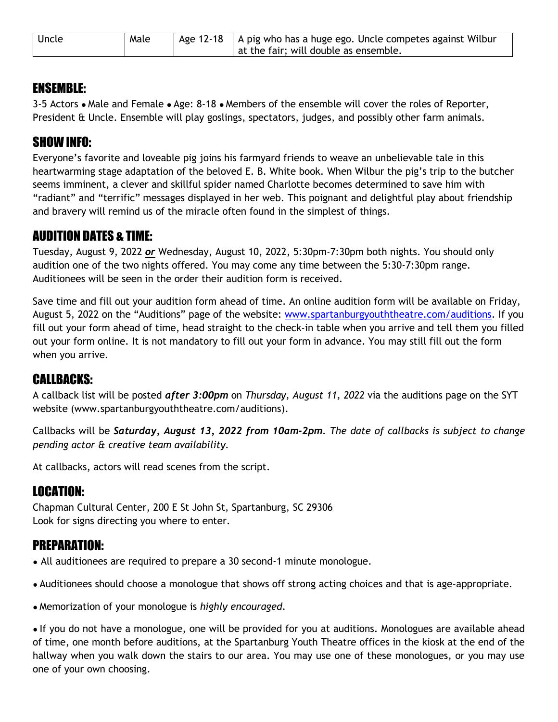| Uncle | Male |                                       |  |  |
|-------|------|---------------------------------------|--|--|
|       |      | at the fair; will double as ensemble. |  |  |

#### ENSEMBLE:

3-5 Actors • Male and Female • Age: 8-18 • Members of the ensemble will cover the roles of Reporter, President & Uncle. Ensemble will play goslings, spectators, judges, and possibly other farm animals.

#### SHOW INFO:

Everyone's favorite and loveable pig joins his farmyard friends to weave an unbelievable tale in this heartwarming stage adaptation of the beloved E. B. White book. When Wilbur the pig's trip to the butcher seems imminent, a clever and skillful spider named Charlotte becomes determined to save him with "radiant" and "terrific" messages displayed in her web. This poignant and delightful play about friendship and bravery will remind us of the miracle often found in the simplest of things.

#### AUDITION DATES & TIME:

Tuesday, August 9, 2022 *or* Wednesday, August 10, 2022, 5:30pm-7:30pm both nights. You should only audition one of the two nights offered. You may come any time between the 5:30-7:30pm range. Auditionees will be seen in the order their audition form is received.

Save time and fill out your audition form ahead of time. An online audition form will be available on Friday, August 5, 2022 on the "Auditions" page of the website: [www.spartanburgyouththeatre.com/auditions.](http://www.spartanburgyouththeatre.com/auditions) If you fill out your form ahead of time, head straight to the check-in table when you arrive and tell them you filled out your form online. It is not mandatory to fill out your form in advance. You may still fill out the form when you arrive.

#### CALLBACKS:

A callback list will be posted *after 3:00pm* on *Thursday, August 11, 2022* via the auditions page on the SYT website (www.spartanburgyouththeatre.com/auditions).

Callbacks will be *Saturday, August 13, 2022 from 10am-2pm*. *The date of callbacks is subject to change pending actor & creative team availability.*

At callbacks, actors will read scenes from the script.

## LOCATION:

Chapman Cultural Center, 200 E St John St, Spartanburg, SC 29306 Look for signs directing you where to enter.

## PREPARATION:

- All auditionees are required to prepare a 30 second-1 minute monologue.
- Auditionees should choose a monologue that shows off strong acting choices and that is age-appropriate.
- Memorization of your monologue is *highly encouraged*.

● If you do not have a monologue, one will be provided for you at auditions. Monologues are available ahead of time, one month before auditions, at the Spartanburg Youth Theatre offices in the kiosk at the end of the hallway when you walk down the stairs to our area. You may use one of these monologues, or you may use one of your own choosing.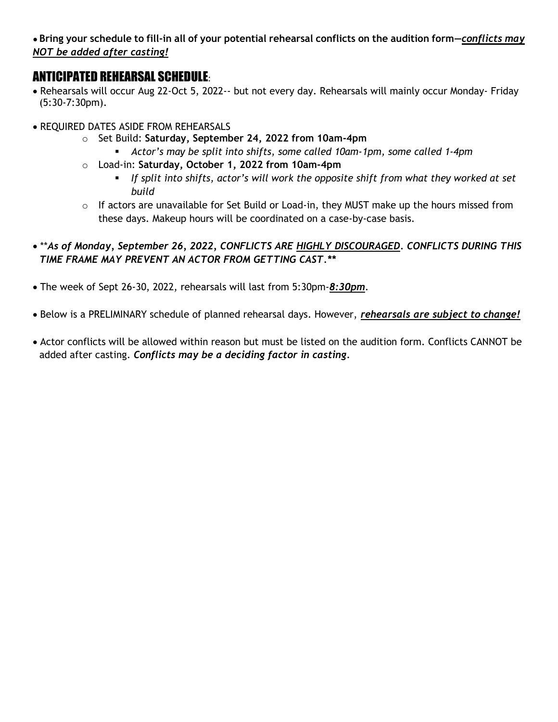● **Bring your schedule to fill‐in all of your potential rehearsal conflicts on the audition form—***conflicts may NOT be added after casting!*

#### ANTICIPATED REHEARSAL SCHEDULE:

- Rehearsals will occur Aug 22-Oct 5, 2022-- but not every day. Rehearsals will mainly occur Monday- Friday (5:30-7:30pm).
- REQUIRED DATES ASIDE FROM REHEARSALS
	- o Set Build: **Saturday, September 24, 2022 from 10am-4pm**
		- *Actor's may be split into shifts, some called 10am-1pm, some called 1-4pm*
	- o Load-in: **Saturday, October 1, 2022 from 10am-4pm**
		- *If split into shifts, actor's will work the opposite shift from what they worked at set build*
	- o If actors are unavailable for Set Build or Load-in, they MUST make up the hours missed from these days. Makeup hours will be coordinated on a case-by-case basis.
- \*\**As of Monday, September 26, 2022, CONFLICTS ARE HIGHLY DISCOURAGED. CONFLICTS DURING THIS TIME FRAME MAY PREVENT AN ACTOR FROM GETTING CAST.\*\**
- The week of Sept 26-30, 2022, rehearsals will last from 5:30pm-*8:30pm*.
- Below is a PRELIMINARY schedule of planned rehearsal days. However, *rehearsals are subject to change!*
- Actor conflicts will be allowed within reason but must be listed on the audition form. Conflicts CANNOT be added after casting. *Conflicts may be a deciding factor in casting.*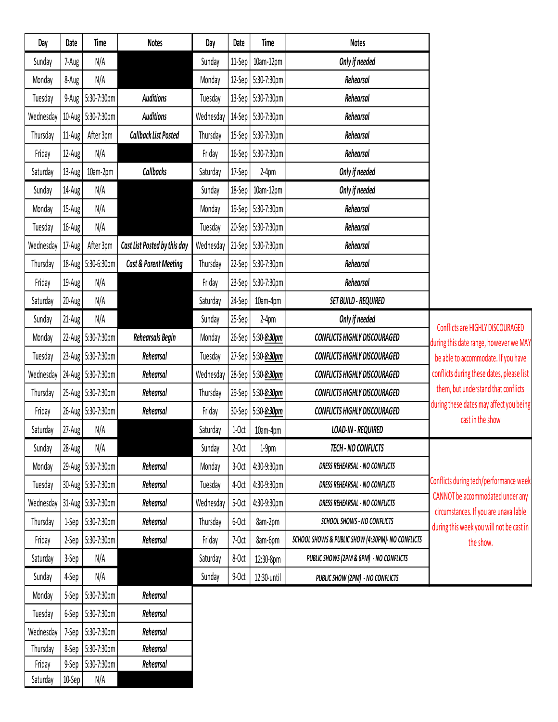| Day       | Date      | Time               | <b>Notes</b>                 | Day       | Date    | Time               | <b>Notes</b>                                      |                                                                                                                       |  |
|-----------|-----------|--------------------|------------------------------|-----------|---------|--------------------|---------------------------------------------------|-----------------------------------------------------------------------------------------------------------------------|--|
| Sunday    | 7-Aug     | N/A                |                              | Sunday    | 11-Sep  | 10am-12pm          | Only if needed                                    |                                                                                                                       |  |
| Monday    | 8-Aug     | N/A                |                              | Monday    |         | 12-Sep 5:30-7:30pm | Rehearsal                                         |                                                                                                                       |  |
| Tuesday   |           | 9-Aug 5:30-7:30pm  | <b>Auditions</b>             | Tuesday   |         | 13-Sep 5:30-7:30pm | Rehearsal                                         |                                                                                                                       |  |
| Wednesday |           | 10-Aug 5:30-7:30pm | <b>Auditions</b>             | Wednesday |         | 14-Sep 5:30-7:30pm | Rehearsal                                         |                                                                                                                       |  |
| Thursday  | 11-Aug    | After 3pm          | <b>Callback List Posted</b>  | Thursday  |         | 15-Sep 5:30-7:30pm | Rehearsal                                         |                                                                                                                       |  |
| Friday    | 12-Aug    | N/A                |                              | Friday    |         | 16-Sep 5:30-7:30pm | Rehearsal                                         |                                                                                                                       |  |
| Saturday  | 13-Aug    | 10am-2pm           | Callbacks                    | Saturday  | 17-Sep  | $2-4pm$            | Only if needed                                    |                                                                                                                       |  |
| Sunday    | 14-Aug    | N/A                |                              | Sunday    | 18-Sep  | 10am-12pm          | Only if needed                                    |                                                                                                                       |  |
| Monday    | 15-Aug    | N/A                |                              | Monday    |         | 19-Sep 5:30-7:30pm | Rehearsal                                         |                                                                                                                       |  |
| Tuesday   | 16-Aug    | N/A                |                              | Tuesday   |         | 20-Sep 5:30-7:30pm | Rehearsal                                         |                                                                                                                       |  |
| Wednesday | $17$ -Aug | After 3pm          | Cast List Posted by this day | Wednesday |         | 21-Sep 5:30-7:30pm | Rehearsal                                         |                                                                                                                       |  |
| Thursday  |           | 18-Aug 5:30-6:30pm | Cast & Parent Meeting        | Thursday  |         | 22-Sep 5:30-7:30pm | Rehearsal                                         |                                                                                                                       |  |
| Friday    | 19-Aug    | N/A                |                              | Friday    |         | 23-Sep 5:30-7:30pm | Rehearsal                                         |                                                                                                                       |  |
| Saturday  | 20-Aug    | N/A                |                              | Saturday  | 24-Sep  | 10am-4pm           | SET BUILD - REQUIRED                              |                                                                                                                       |  |
| Sunday    | 21-Aug    | N/A                |                              | Sunday    | 25-Sep  | $2-4pm$            | Only if needed                                    |                                                                                                                       |  |
| Monday    |           | 22-Aug 5:30-7:30pm | Rehearsals Begin             | Monday    | 26-Sep  | 5:30-8:30pm        | <b>CONFLICTS HIGHLY DISCOURAGED</b>               | Conflicts are HIGHLY DISCOURAGED<br>during this date range, however we MAY                                            |  |
| Tuesday   |           | 23-Aug 5:30-7:30pm | Rehearsal                    | Tuesday   |         | 27-Sep 5:30-8:30pm | <b>CONFLICTS HIGHLY DISCOURAGED</b>               | be able to accommodate. If you have<br>conflicts during these dates, please list                                      |  |
| Wednesday |           | 24-Aug 5:30-7:30pm | Rehearsal                    | Wednesday |         | 28-Sep 5:30-8:30pm | <b>CONFLICTS HIGHLY DISCOURAGED</b>               |                                                                                                                       |  |
| Thursday  |           | 25-Aug 5:30-7:30pm | Rehearsal                    | Thursday  |         | 29-Sep 5:30-8:30pm | <b>CONFLICTS HIGHLY DISCOURAGED</b>               | them, but understand that conflicts                                                                                   |  |
| Friday    |           | 26-Aug 5:30-7:30pm | Rehearsal                    | Friday    |         | 30-Sep 5:30-8:30pm | <b>CONFLICTS HIGHLY DISCOURAGED</b>               | during these dates may affect you being                                                                               |  |
| Saturday  | 27-Aug    | N/A                |                              | Saturday  | $1-0ct$ | 10am-4pm           | <b>LOAD-IN - REQUIRED</b>                         | cast in the show                                                                                                      |  |
| Sunday    | 28-Aug    | N/A                |                              | Sunday    | $2-0ct$ | $1-9$ pm           | TECH - NO CONFLICTS                               |                                                                                                                       |  |
| Monday    |           | 29-Aug 5:30-7:30pm | Rehearsal                    | Monday    | $3-0ct$ | 4:30-9:30pm        | DRESS REHEARSAL - NO CONFLICTS                    |                                                                                                                       |  |
| Tuesday   |           | 30-Aug 5:30-7:30pm | Rehearsal                    | Tuesday   | 4-Oct   | 4:30-9:30pm        | DRESS REHEARSAL - NO CONFLICTS                    | Conflicts during tech/performance week                                                                                |  |
| Wednesday |           | 31-Aug 5:30-7:30pm | Rehearsal                    | Wednesday | 5-Oct   | 4:30-9:30pm        | DRESS REHEARSAL - NO CONFLICTS                    | CANNOT be accommodated under any<br>circumstances. If you are unavailable<br>during this week you will not be cast in |  |
| Thursday  |           | 1-Sep 5:30-7:30pm  | Rehearsal                    | Thursday  | 6-Oct   | 8am-2pm            | SCHOOL SHOWS - NO CONFLICTS                       |                                                                                                                       |  |
| Friday    | 2-Sep     | 5:30-7:30pm        | Rehearsal                    | Friday    | $7-0ct$ | 8am-6pm            | SCHOOL SHOWS & PUBLIC SHOW (4:30PM)- NO CONFLICTS | the show.                                                                                                             |  |
| Saturday  | 3-Sep     | N/A                |                              | Saturday  | 8-Oct   | 12:30-8pm          | PUBLIC SHOWS (2PM & 6PM) - NO CONFLICTS           |                                                                                                                       |  |
| Sunday    | 4-Sep     | N/A                |                              | Sunday    | 9-Oct   | 12:30-until        | PUBLIC SHOW (2PM) - NO CONFLICTS                  |                                                                                                                       |  |
| Monday    | 5-Sep     | 5:30-7:30pm        | Rehearsal                    |           |         |                    |                                                   |                                                                                                                       |  |
| Tuesday   | 6-Sep     | 5:30-7:30pm        | Rehearsal                    |           |         |                    |                                                   |                                                                                                                       |  |
| Wednesday | 7-Sep     | 5:30-7:30pm        | Rehearsal                    |           |         |                    |                                                   |                                                                                                                       |  |
| Thursday  | 8-Sep     | 5:30-7:30pm        | Rehearsal                    |           |         |                    |                                                   |                                                                                                                       |  |
| Friday    | 9-Sep     | 5:30-7:30pm        | Rehearsal                    |           |         |                    |                                                   |                                                                                                                       |  |
| Saturday  | 10-Sep    | N/A                |                              |           |         |                    |                                                   |                                                                                                                       |  |